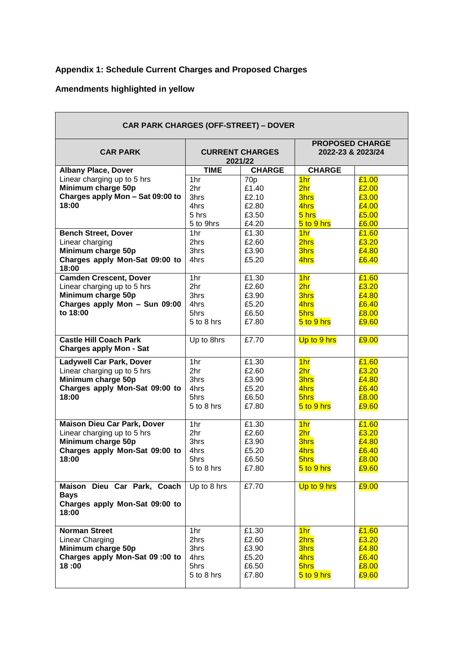## **Appendix 1: Schedule Current Charges and Proposed Charges**

## **Amendments highlighted in yellow**

| <b>CAR PARK CHARGES (OFF-STREET) - DOVER</b>                    |                                   |                 |                                             |       |
|-----------------------------------------------------------------|-----------------------------------|-----------------|---------------------------------------------|-------|
| <b>CAR PARK</b>                                                 | <b>CURRENT CHARGES</b><br>2021/22 |                 | <b>PROPOSED CHARGE</b><br>2022-23 & 2023/24 |       |
| <b>Albany Place, Dover</b>                                      | <b>TIME</b>                       | <b>CHARGE</b>   | <b>CHARGE</b>                               |       |
| Linear charging up to 5 hrs                                     | 1hr                               | 70 <sub>p</sub> | 1 <sub>hr</sub>                             | £1.00 |
| Minimum charge 50p                                              | 2hr                               | £1.40           | 2 <sub>hr</sub>                             | £2.00 |
| Charges apply Mon - Sat 09:00 to                                | 3hrs                              | £2.10           | <b>3hrs</b>                                 | £3.00 |
| 18:00                                                           | 4hrs                              | £2.80           | 4hrs                                        | £4.00 |
|                                                                 | 5 hrs                             | £3.50           | $5$ hrs                                     | £5.00 |
|                                                                 | 5 to 9hrs                         | £4.20           | 5 to 9 hrs                                  | £6.00 |
| <b>Bench Street, Dover</b>                                      | 1hr                               | £1.30           | 1 <sub>hr</sub>                             | £1.60 |
| Linear charging                                                 | 2hrs                              | £2.60           | 2hrs                                        | £3.20 |
| Minimum charge 50p                                              | 3hrs                              | £3.90           | <b>3hrs</b>                                 | £4.80 |
| Charges apply Mon-Sat 09:00 to                                  | 4hrs                              | £5.20           | 4hrs                                        | £6.40 |
| 18:00                                                           |                                   |                 |                                             |       |
| <b>Camden Crescent, Dover</b>                                   | 1hr                               | £1.30           | 1 <sub>hr</sub>                             | £1.60 |
| Linear charging up to 5 hrs                                     | 2hr                               | £2.60           | 2 <sub>hr</sub>                             | £3.20 |
| Minimum charge 50p                                              | 3hrs                              | £3.90           | 3hrs                                        | £4.80 |
| Charges apply Mon - Sun 09:00                                   | 4hrs                              | £5.20           | 4hrs                                        | £6.40 |
| to 18:00                                                        | 5hrs                              | £6.50           | 5hrs                                        | £8.00 |
|                                                                 | 5 to 8 hrs                        | £7.80           | 5 to 9 hrs                                  | £9.60 |
|                                                                 |                                   |                 |                                             |       |
| <b>Castle Hill Coach Park</b><br><b>Charges apply Mon - Sat</b> | Up to 8hrs                        | £7.70           | Up to 9 hrs                                 | £9.00 |
|                                                                 | 1hr                               | £1.30           |                                             | £1.60 |
| <b>Ladywell Car Park, Dover</b>                                 | 2hr                               |                 | 1 <sub>hr</sub>                             |       |
| Linear charging up to 5 hrs                                     |                                   | £2.60           | 2 <sub>hr</sub>                             | £3.20 |
| Minimum charge 50p                                              | 3hrs                              | £3.90           | <b>3hrs</b>                                 | £4.80 |
| Charges apply Mon-Sat 09:00 to                                  | 4hrs                              | £5.20           | 4hrs                                        | £6.40 |
| 18:00                                                           | 5hrs                              | £6.50<br>£7.80  | 5hrs                                        | £8.00 |
|                                                                 | 5 to 8 hrs                        |                 | 5 to 9 hrs                                  | £9.60 |
| <b>Maison Dieu Car Park, Dover</b>                              | 1hr                               | £1.30           | 1 <sub>hr</sub>                             | £1.60 |
| Linear charging up to 5 hrs                                     | 2hr                               | £2.60           | 2 <sub>hr</sub>                             | £3.20 |
| Minimum charge 50p                                              | 3hrs                              | £3.90           | <b>3hrs</b>                                 | £4.80 |
| Charges apply Mon-Sat 09:00 to                                  | 4hrs                              | £5.20           | 4hrs                                        | £6.40 |
| 18:00                                                           | 5hrs                              | £6.50           | 5hrs                                        | £8.00 |
|                                                                 | 5 to 8 hrs                        | £7.80           | 5 to 9 hrs                                  | £9.60 |
|                                                                 |                                   |                 |                                             |       |
| Maison Dieu Car Park, Coach                                     | Up to 8 hrs                       | £7.70           | Up to 9 hrs                                 | £9.00 |
| <b>Bays</b>                                                     |                                   |                 |                                             |       |
| Charges apply Mon-Sat 09:00 to<br>18:00                         |                                   |                 |                                             |       |
| <b>Norman Street</b>                                            | 1hr                               | £1.30           | 1 <sub>hr</sub>                             | £1.60 |
| Linear Charging                                                 | 2hrs                              | £2.60           | 2hrs                                        | £3.20 |
| Minimum charge 50p                                              | 3hrs                              | £3.90           | <b>3hrs</b>                                 | £4.80 |
| Charges apply Mon-Sat 09:00 to                                  | 4hrs                              | £5.20           | 4hrs                                        | £6.40 |
| 18:00                                                           | 5hrs                              | £6.50           | 5hrs                                        | £8.00 |
|                                                                 | 5 to 8 hrs                        | £7.80           | 5 to 9 hrs                                  | £9.60 |
|                                                                 |                                   |                 |                                             |       |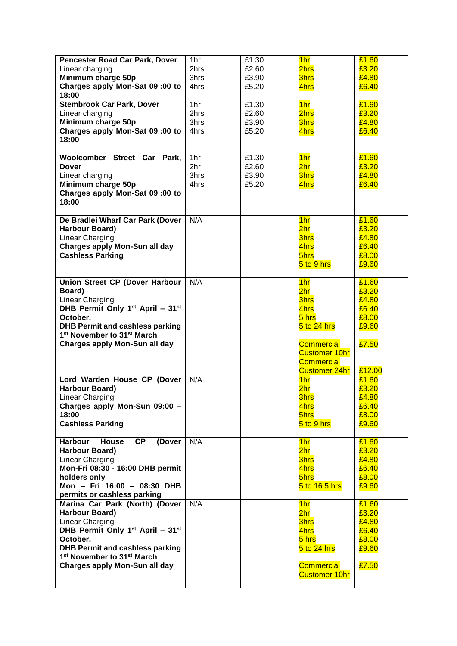| Pencester Road Car Park, Dover                                              | 1hr  | £1.30 | 1 <sub>hr</sub>                           | £1.60          |
|-----------------------------------------------------------------------------|------|-------|-------------------------------------------|----------------|
| Linear charging                                                             | 2hrs | £2.60 | 2hrs                                      | £3.20          |
| Minimum charge 50p                                                          | 3hrs | £3.90 | <b>3hrs</b>                               | £4.80          |
| Charges apply Mon-Sat 09:00 to                                              | 4hrs | £5.20 | 4hrs                                      | £6.40          |
| 18:00                                                                       |      |       |                                           |                |
| <b>Stembrook Car Park, Dover</b>                                            | 1hr  | £1.30 | 1 <sub>hr</sub>                           | £1.60          |
| Linear charging                                                             | 2hrs | £2.60 | 2hrs                                      | £3.20          |
| Minimum charge 50p                                                          | 3hrs | £3.90 | <b>3hrs</b>                               | £4.80          |
| Charges apply Mon-Sat 09:00 to                                              | 4hrs | £5.20 | 4hrs                                      | £6.40          |
| 18:00                                                                       |      |       |                                           |                |
| Woolcomber Street Car Park,                                                 | 1hr  | £1.30 | 1 <sub>hr</sub>                           | £1.60          |
| <b>Dover</b>                                                                | 2hr  | £2.60 | 2 <sub>hr</sub>                           | £3.20          |
| Linear charging                                                             | 3hrs | £3.90 | 3hrs                                      | £4.80          |
| Minimum charge 50p                                                          | 4hrs | £5.20 | 4hrs                                      | £6.40          |
| Charges apply Mon-Sat 09:00 to                                              |      |       |                                           |                |
| 18:00                                                                       |      |       |                                           |                |
|                                                                             |      |       |                                           |                |
| De Bradlei Wharf Car Park (Dover                                            | N/A  |       | 1 <sub>hr</sub>                           | £1.60          |
| <b>Harbour Board)</b>                                                       |      |       | 2 <sub>hr</sub>                           | £3.20          |
| Linear Charging                                                             |      |       | 3hrs                                      | £4.80          |
| <b>Charges apply Mon-Sun all day</b>                                        |      |       | 4hrs                                      | £6.40          |
| <b>Cashless Parking</b>                                                     |      |       | 5hrs                                      | £8.00          |
|                                                                             |      |       | 5 to 9 hrs                                | £9.60          |
|                                                                             |      |       |                                           |                |
| Union Street CP (Dover Harbour                                              | N/A  |       | 1 <sub>hr</sub>                           | £1.60          |
| Board)                                                                      |      |       | 2 <sub>hr</sub>                           | £3.20          |
| <b>Linear Charging</b>                                                      |      |       | 3hrs                                      | £4.80          |
| DHB Permit Only 1 <sup>st</sup> April - 31 <sup>st</sup>                    |      |       | 4hrs                                      | £6.40          |
| October.                                                                    |      |       | 5 hrs                                     | £8.00          |
| <b>DHB Permit and cashless parking</b>                                      |      |       | $5$ to 24 hrs                             | £9.60          |
| 1 <sup>st</sup> November to 31 <sup>st</sup> March                          |      |       |                                           |                |
| Charges apply Mon-Sun all day                                               |      |       | <b>Commercial</b>                         | £7.50          |
|                                                                             |      |       | <b>Customer 10hr</b><br><b>Commercial</b> |                |
|                                                                             |      |       | <b>Customer 24hr</b>                      | £12.00         |
| Lord Warden House CP (Dover                                                 | N/A  |       | 1 <sub>hr</sub>                           | £1.60          |
| <b>Harbour Board)</b>                                                       |      |       | 2hr                                       | £3.20          |
| Linear Charging                                                             |      |       | 3hrs                                      | £4.80          |
| Charges apply Mon-Sun 09:00 -                                               |      |       | 4hrs                                      | £6.40          |
| 18:00                                                                       |      |       | 5hrs                                      | £8.00          |
| <b>Cashless Parking</b>                                                     |      |       | 5 to 9 hrs                                | £9.60          |
|                                                                             |      |       |                                           |                |
| <b>CP</b><br><b>Harbour</b><br>(Dover<br>House                              | N/A  |       | 1 <sub>hr</sub>                           | £1.60          |
| <b>Harbour Board)</b>                                                       |      |       | 2hr                                       | £3.20          |
| Linear Charging                                                             |      |       | <b>3hrs</b>                               | £4.80          |
| Mon-Fri 08:30 - 16:00 DHB permit                                            |      |       | 4hrs                                      | £6.40          |
| holders only                                                                |      |       | 5hrs                                      | £8.00          |
| Mon - Fri 16:00 - 08:30 DHB                                                 |      |       | 5 to 16.5 hrs                             | £9.60          |
| permits or cashless parking                                                 |      |       |                                           |                |
| Marina Car Park (North) (Dover                                              | N/A  |       | 1 <sub>hr</sub>                           | £1.60          |
| <b>Harbour Board)</b>                                                       |      |       | 2 <sub>hr</sub>                           | £3.20          |
| Linear Charging<br>DHB Permit Only 1 <sup>st</sup> April - 31 <sup>st</sup> |      |       | <b>3hrs</b>                               | £4.80          |
| October.                                                                    |      |       | 4hrs                                      | £6.40          |
| <b>DHB Permit and cashless parking</b>                                      |      |       | $5$ hrs<br>$5$ to 24 hrs                  | £8.00<br>£9.60 |
| 1 <sup>st</sup> November to 31 <sup>st</sup> March                          |      |       |                                           |                |
| Charges apply Mon-Sun all day                                               |      |       | <b>Commercial</b>                         | £7.50          |
|                                                                             |      |       | <b>Customer 10hr</b>                      |                |
|                                                                             |      |       |                                           |                |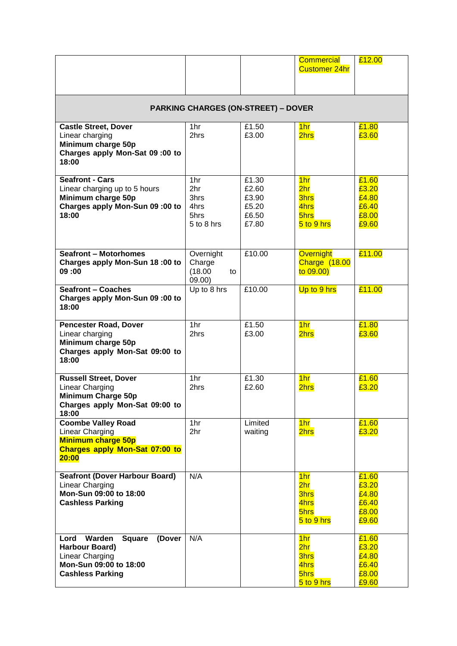|                                                                                                                                     |                                                  |                                                    | <b>Commercial</b><br><b>Customer 24hr</b>                           | £12.00                                             |  |  |
|-------------------------------------------------------------------------------------------------------------------------------------|--------------------------------------------------|----------------------------------------------------|---------------------------------------------------------------------|----------------------------------------------------|--|--|
| <b>PARKING CHARGES (ON-STREET) - DOVER</b>                                                                                          |                                                  |                                                    |                                                                     |                                                    |  |  |
| <b>Castle Street, Dover</b><br>Linear charging<br>Minimum charge 50p<br>Charges apply Mon-Sat 09:00 to<br>18:00                     | 1hr<br>2hrs                                      | £1.50<br>£3.00                                     | 1 <sub>hr</sub><br>2hrs                                             | £1.80<br>£3.60                                     |  |  |
| <b>Seafront - Cars</b><br>Linear charging up to 5 hours<br>Minimum charge 50p<br>Charges apply Mon-Sun 09 :00 to<br>18:00           | 1hr<br>2hr<br>3hrs<br>4hrs<br>5hrs<br>5 to 8 hrs | £1.30<br>£2.60<br>£3.90<br>£5.20<br>£6.50<br>£7.80 | 1 <sub>hr</sub><br>2hr<br><b>3hrs</b><br>4hrs<br>5hrs<br>5 to 9 hrs | £1.60<br>£3.20<br>£4.80<br>£6.40<br>£8.00<br>£9.60 |  |  |
| <b>Seafront - Motorhomes</b><br>Charges apply Mon-Sun 18:00 to<br>09:00                                                             | Overnight<br>Charge<br>(18.00)<br>to<br>09.00)   | £10.00                                             | <b>Overnight</b><br><b>Charge (18.00</b><br>to 09.00                | £11.00                                             |  |  |
| <b>Seafront - Coaches</b><br>Charges apply Mon-Sun 09:00 to<br>18:00                                                                | Up to 8 hrs                                      | £10.00                                             | Up to 9 hrs                                                         | £11.00                                             |  |  |
| <b>Pencester Road, Dover</b><br>Linear charging<br>Minimum charge 50p<br>Charges apply Mon-Sat 09:00 to<br>18:00                    | 1hr<br>2hrs                                      | £1.50<br>£3.00                                     | 1 <sub>hr</sub><br>2hrs                                             | £1.80<br>£3.60                                     |  |  |
| <b>Russell Street, Dover</b><br><b>Linear Charging</b><br><b>Minimum Charge 50p</b><br>Charges apply Mon-Sat 09:00 to<br>18:00      | 1hr<br>2hrs                                      | £1.30<br>£2.60                                     | 1 <sub>hr</sub><br>2hrs                                             | £1.60<br>£3.20                                     |  |  |
| <b>Coombe Valley Road</b><br>Linear Charging<br><b>Minimum charge 50p</b><br><b>Charges apply Mon-Sat 07:00 to</b><br>20:00         | 1hr<br>2hr                                       | Limited<br>waiting                                 | 1 <sub>hr</sub><br>2hrs                                             | £1.60<br>£3.20                                     |  |  |
| <b>Seafront (Dover Harbour Board)</b><br>Linear Charging<br>Mon-Sun 09:00 to 18:00<br><b>Cashless Parking</b>                       | N/A                                              |                                                    | 1 <sub>hr</sub><br>2hr<br><b>3hrs</b><br>4hrs<br>5hrs<br>5 to 9 hrs | £1.60<br>£3.20<br>£4.80<br>£6.40<br>£8.00<br>£9.60 |  |  |
| Warden<br>Lord<br><b>Square</b><br>(Dover<br>Harbour Board)<br>Linear Charging<br>Mon-Sun 09:00 to 18:00<br><b>Cashless Parking</b> | N/A                                              |                                                    | 1 <sub>hr</sub><br>2hr<br>3hrs<br>4hrs<br>5hrs<br>5 to 9 hrs        | £1.60<br>£3.20<br>£4.80<br>£6.40<br>£8.00<br>£9.60 |  |  |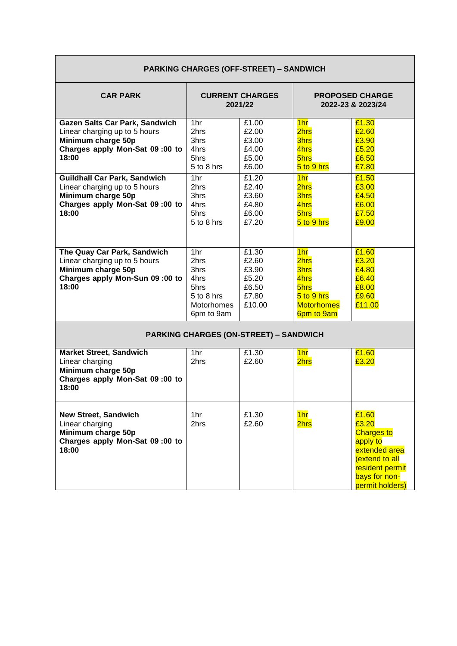| <b>PARKING CHARGES (OFF-STREET) - SANDWICH</b>                                                                                                                                                                                                                                   |                                                                                                                    |                                                                                                          |                                                                                                                                      |                                                                                                                                          |
|----------------------------------------------------------------------------------------------------------------------------------------------------------------------------------------------------------------------------------------------------------------------------------|--------------------------------------------------------------------------------------------------------------------|----------------------------------------------------------------------------------------------------------|--------------------------------------------------------------------------------------------------------------------------------------|------------------------------------------------------------------------------------------------------------------------------------------|
| <b>CAR PARK</b>                                                                                                                                                                                                                                                                  | <b>CURRENT CHARGES</b><br>2021/22                                                                                  |                                                                                                          |                                                                                                                                      | <b>PROPOSED CHARGE</b><br>2022-23 & 2023/24                                                                                              |
| <b>Gazen Salts Car Park, Sandwich</b><br>Linear charging up to 5 hours<br>Minimum charge 50p<br>Charges apply Mon-Sat 09:00 to<br>18:00<br><b>Guildhall Car Park, Sandwich</b><br>Linear charging up to 5 hours<br>Minimum charge 50p<br>Charges apply Mon-Sat 09:00 to<br>18:00 | 1 <sub>hr</sub><br>2hrs<br>3hrs<br>4hrs<br>5hrs<br>5 to 8 hrs<br>1hr<br>2hrs<br>3hrs<br>4hrs<br>5hrs<br>5 to 8 hrs | £1.00<br>£2.00<br>£3.00<br>£4.00<br>£5.00<br>£6.00<br>£1.20<br>£2.40<br>£3.60<br>£4.80<br>£6.00<br>£7.20 | 1 <sub>hr</sub><br>2hrs<br>3hrs<br>4hrs<br>5hrs<br>$5$ to 9 hrs<br>1 <sub>hr</sub><br>2hrs<br>3hrs<br>4hrs<br>5hrs<br>$5$ to $9$ hrs | £1.30<br>£2.60<br>£3.90<br>£5.20<br>£6.50<br>£7.80<br>£1.50<br>£3.00<br>£4.50<br>£6.00<br>£7.50<br>£9.00                                 |
| The Quay Car Park, Sandwich<br>Linear charging up to 5 hours<br>Minimum charge 50p<br>Charges apply Mon-Sun 09:00 to<br>18:00                                                                                                                                                    | 1hr<br>2hrs<br>3hrs<br>4hrs<br>5hrs<br>5 to 8 hrs<br>Motorhomes<br>6pm to 9am                                      | £1.30<br>£2.60<br>£3.90<br>£5.20<br>£6.50<br>£7.80<br>£10.00                                             | 1 <sub>hr</sub><br>2hrs<br>3hrs<br>4hrs<br>5hrs<br>$5$ to 9 hrs<br><b>Motorhomes</b><br>6pm to 9am                                   | $\overline{£1.60}$<br>£3.20<br>£4.80<br>£6.40<br>£8.00<br>£9.60<br>£11.00                                                                |
|                                                                                                                                                                                                                                                                                  |                                                                                                                    | <b>PARKING CHARGES (ON-STREET) - SANDWICH</b>                                                            |                                                                                                                                      |                                                                                                                                          |
| <b>Market Street, Sandwich</b><br>Linear charging<br>Minimum charge 50p<br>Charges apply Mon-Sat 09:00 to<br>18:00                                                                                                                                                               | 1hr<br>2hrs                                                                                                        | £1.30<br>£2.60                                                                                           | 1 <sub>hr</sub><br>2hrs                                                                                                              | £1.60<br>£3.20                                                                                                                           |
| <b>New Street, Sandwich</b><br>Linear charging<br>Minimum charge 50p<br>Charges apply Mon-Sat 09:00 to<br>18:00                                                                                                                                                                  | 1 <sub>hr</sub><br>2hrs                                                                                            | £1.30<br>£2.60                                                                                           | 1 <sub>hr</sub><br>2hrs                                                                                                              | £1.60<br>£3.20<br><b>Charges to</b><br>apply to<br>extended area<br>extend to all<br>resident permit<br>bays for non-<br>permit holders) |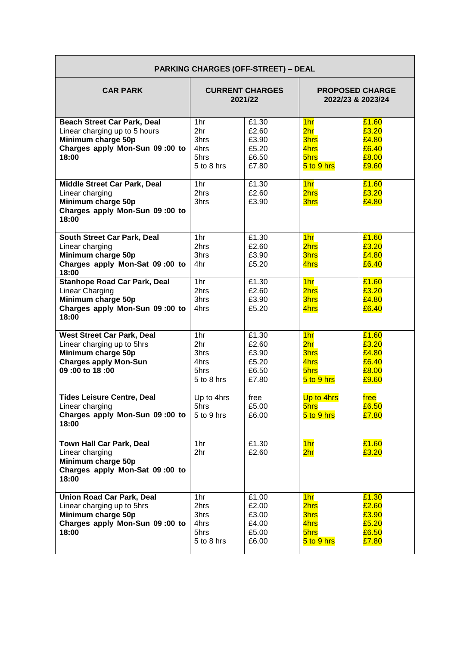| <b>PARKING CHARGES (OFF-STREET) - DEAL</b>                                                                                              |                                                   |                                                    |                                                                                 |                                                    |  |
|-----------------------------------------------------------------------------------------------------------------------------------------|---------------------------------------------------|----------------------------------------------------|---------------------------------------------------------------------------------|----------------------------------------------------|--|
| <b>CAR PARK</b>                                                                                                                         | <b>CURRENT CHARGES</b><br>2021/22                 |                                                    | <b>PROPOSED CHARGE</b><br>2022/23 & 2023/24                                     |                                                    |  |
| <b>Beach Street Car Park, Deal</b><br>Linear charging up to 5 hours<br>Minimum charge 50p<br>Charges apply Mon-Sun 09:00 to<br>18:00    | 1hr<br>2hr<br>3hrs<br>4hrs<br>5hrs<br>5 to 8 hrs  | £1.30<br>£2.60<br>£3.90<br>£5.20<br>£6.50<br>£7.80 | 1 <sub>hr</sub><br>2 <sub>hr</sub><br><b>3hrs</b><br>4hrs<br>5hrs<br>5 to 9 hrs | £1.60<br>£3.20<br>£4.80<br>£6.40<br>£8.00<br>£9.60 |  |
| Middle Street Car Park, Deal<br>Linear charging<br>Minimum charge 50p<br>Charges apply Mon-Sun 09:00 to<br>18:00                        | 1hr<br>2hrs<br>3hrs                               | £1.30<br>£2.60<br>£3.90                            | 1 <sub>hr</sub><br>2hrs<br><b>3hrs</b>                                          | £1.60<br>£3.20<br>£4.80                            |  |
| South Street Car Park, Deal<br>Linear charging<br>Minimum charge 50p<br>Charges apply Mon-Sat 09:00 to<br>18:00                         | 1hr<br>2hrs<br>3hrs<br>4hr                        | £1.30<br>£2.60<br>£3.90<br>£5.20                   | 1 <sub>hr</sub><br>2hrs<br><b>3hrs</b><br>4hrs                                  | £1.60<br>£3.20<br>£4.80<br>£6.40                   |  |
| <b>Stanhope Road Car Park, Deal</b><br><b>Linear Charging</b><br>Minimum charge 50p<br>Charges apply Mon-Sun 09:00 to<br>18:00          | 1hr<br>2hrs<br>3hrs<br>4hrs                       | £1.30<br>£2.60<br>£3.90<br>£5.20                   | 1 <sub>hr</sub><br>2hrs<br><b>3hrs</b><br>4hrs                                  | £1.60<br>£3.20<br>£4.80<br>£6.40                   |  |
| <b>West Street Car Park, Deal</b><br>Linear charging up to 5hrs<br>Minimum charge 50p<br><b>Charges apply Mon-Sun</b><br>09:00 to 18:00 | 1hr<br>2hr<br>3hrs<br>4hrs<br>5hrs<br>5 to 8 hrs  | £1.30<br>£2.60<br>£3.90<br>£5.20<br>£6.50<br>£7.80 | 1 <sub>hr</sub><br>2 <sub>hr</sub><br><b>3hrs</b><br>4hrs<br>5hrs<br>5 to 9 hrs | £1.60<br>£3.20<br>£4.80<br>£6.40<br>£8.00<br>£9.60 |  |
| <b>Tides Leisure Centre, Deal</b><br>Linear charging<br>Charges apply Mon-Sun 09:00 to<br>18:00                                         | Up to 4hrs<br>5hrs<br>5 to 9 hrs                  | free<br>£5.00<br>£6.00                             | Up to 4hrs<br>5hrs<br>5 to 9 hrs                                                | free<br>£6.50<br>£7.80                             |  |
| Town Hall Car Park, Deal<br>Linear charging<br>Minimum charge 50p<br>Charges apply Mon-Sat 09:00 to<br>18:00                            | 1hr<br>2hr                                        | £1.30<br>£2.60                                     | 1 <sub>hr</sub><br>2hr                                                          | £1.60<br>£3.20                                     |  |
| <b>Union Road Car Park, Deal</b><br>Linear charging up to 5hrs<br>Minimum charge 50p<br>Charges apply Mon-Sun 09:00 to<br>18:00         | 1hr<br>2hrs<br>3hrs<br>4hrs<br>5hrs<br>5 to 8 hrs | £1.00<br>£2.00<br>£3.00<br>£4.00<br>£5.00<br>£6.00 | 1 <sub>hr</sub><br>2hrs<br><b>3hrs</b><br>4hrs<br>5hrs<br>5 to 9 hrs            | £1.30<br>£2.60<br>£3.90<br>£5.20<br>£6.50<br>£7.80 |  |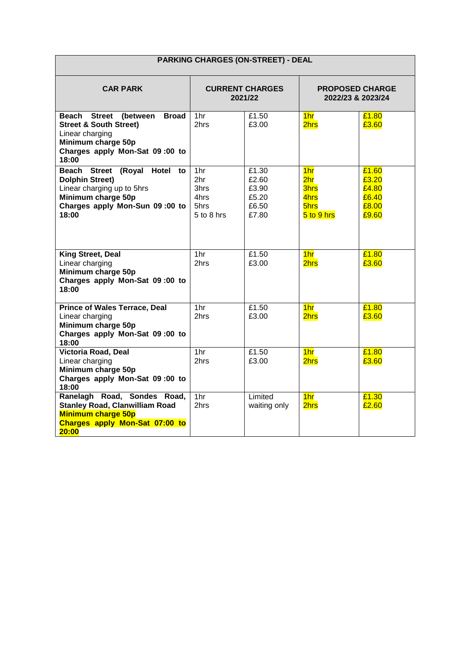| <b>PARKING CHARGES (ON-STREET) - DEAL</b>                                                                                                                                   |                                                       |                                                    |                                                                                 |                                                    |
|-----------------------------------------------------------------------------------------------------------------------------------------------------------------------------|-------------------------------------------------------|----------------------------------------------------|---------------------------------------------------------------------------------|----------------------------------------------------|
| <b>CAR PARK</b>                                                                                                                                                             | <b>CURRENT CHARGES</b><br>2021/22                     |                                                    | <b>PROPOSED CHARGE</b><br>2022/23 & 2023/24                                     |                                                    |
| Beach<br>(between<br><b>Broad</b><br><b>Street</b><br><b>Street &amp; South Street)</b><br>Linear charging<br>Minimum charge 50p<br>Charges apply Mon-Sat 09:00 to<br>18:00 | 1hr<br>2hrs                                           | £1.50<br>£3.00                                     | 1 <sub>hr</sub><br>2hrs                                                         | £1.80<br>£3.60                                     |
| (Royal Hotel to<br>Beach<br><b>Street</b><br><b>Dolphin Street)</b><br>Linear charging up to 5hrs<br>Minimum charge 50p<br>Charges apply Mon-Sun 09:00 to<br>18:00          | 1hr<br>2hr<br>3hrs.<br>4hrs<br>5hrs<br>$5$ to $8$ hrs | £1.30<br>£2.60<br>£3.90<br>£5.20<br>£6.50<br>£7.80 | 1 <sub>hr</sub><br>2 <sub>hr</sub><br><b>3hrs</b><br>4hrs<br>5hrs<br>5 to 9 hrs | £1.60<br>£3.20<br>£4.80<br>£6.40<br>£8.00<br>£9.60 |
| <b>King Street, Deal</b><br>Linear charging<br>Minimum charge 50p<br>Charges apply Mon-Sat 09:00 to<br>18:00                                                                | 1hr<br>2hrs                                           | £1.50<br>£3.00                                     | 1 <sub>hr</sub><br>2hrs                                                         | £1.80<br>£3.60                                     |
| <b>Prince of Wales Terrace, Deal</b><br>Linear charging<br>Minimum charge 50p<br>Charges apply Mon-Sat 09:00 to<br>18:00                                                    | 1hr<br>2hrs                                           | £1.50<br>£3.00                                     | 1 <sub>hr</sub><br>2hrs                                                         | £1.80<br>£3.60                                     |
| Victoria Road, Deal<br>Linear charging<br>Minimum charge 50p<br>Charges apply Mon-Sat 09:00 to<br>18:00                                                                     | 1hr<br>2hrs                                           | £1.50<br>£3.00                                     | 1 <sub>hr</sub><br>2hrs                                                         | £1.80<br>£3.60                                     |
| Ranelagh Road, Sondes Road,<br><b>Stanley Road, Clanwilliam Road</b><br><b>Minimum charge 50p</b><br>Charges apply Mon-Sat 07:00 to<br>20:00                                | 1hr<br>2hrs                                           | Limited<br>waiting only                            | 1 <sub>hr</sub><br>2hrs                                                         | £1.30<br>£2.60                                     |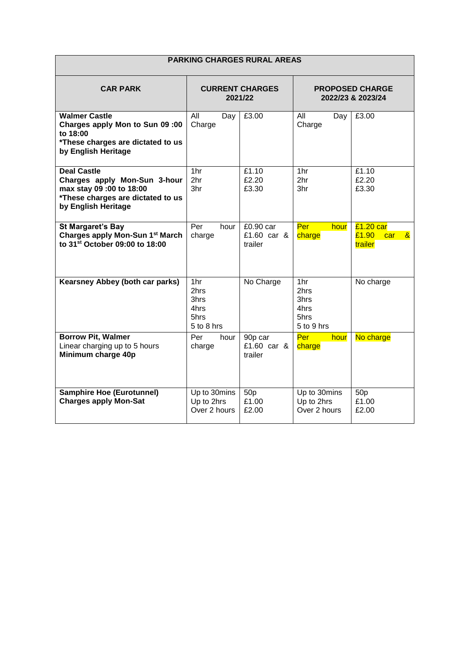| <b>PARKING CHARGES RURAL AREAS</b>                                                                                                        |                                                   |                                     |                                                   |                                                        |  |
|-------------------------------------------------------------------------------------------------------------------------------------------|---------------------------------------------------|-------------------------------------|---------------------------------------------------|--------------------------------------------------------|--|
| <b>CAR PARK</b>                                                                                                                           | <b>CURRENT CHARGES</b><br>2021/22                 |                                     |                                                   | <b>PROPOSED CHARGE</b><br>2022/23 & 2023/24            |  |
| <b>Walmer Castle</b><br>Charges apply Mon to Sun 09:00<br>to 18:00<br>*These charges are dictated to us<br>by English Heritage            | All<br>Day<br>Charge                              | £3.00                               | All<br>Day<br>Charge                              | £3.00                                                  |  |
| <b>Deal Castle</b><br>Charges apply Mon-Sun 3-hour<br>max stay 09:00 to 18:00<br>*These charges are dictated to us<br>by English Heritage | 1hr<br>2hr<br>3hr                                 | £1.10<br>£2.20<br>£3.30             | 1hr<br>2 <sub>hr</sub><br>3hr                     | £1.10<br>£2.20<br>£3.30                                |  |
| <b>St Margaret's Bay</b><br>Charges apply Mon-Sun 1 <sup>st</sup> March<br>to 31 <sup>st</sup> October 09:00 to 18:00                     | Per<br>hour<br>charge                             | £0.90 car<br>£1.60 car &<br>trailer | Per<br>hour<br>charge                             | $£1.20$ car<br>£1.90<br>$\mathbf{g}$<br>car<br>trailer |  |
| Kearsney Abbey (both car parks)                                                                                                           | 1hr<br>2hrs<br>3hrs<br>4hrs<br>5hrs<br>5 to 8 hrs | No Charge                           | 1hr<br>2hrs<br>3hrs<br>4hrs<br>5hrs<br>5 to 9 hrs | No charge                                              |  |
| <b>Borrow Pit, Walmer</b><br>Linear charging up to 5 hours<br>Minimum charge 40p                                                          | Per<br>hour<br>charge                             | 90p car<br>£1.60 car &<br>trailer   | Per<br>hour<br>charge                             | No charge                                              |  |
| <b>Samphire Hoe (Eurotunnel)</b><br><b>Charges apply Mon-Sat</b>                                                                          | Up to 30mins<br>Up to 2hrs<br>Over 2 hours        | 50 <sub>p</sub><br>£1.00<br>£2.00   | Up to 30mins<br>Up to 2hrs<br>Over 2 hours        | 50 <sub>p</sub><br>£1.00<br>£2.00                      |  |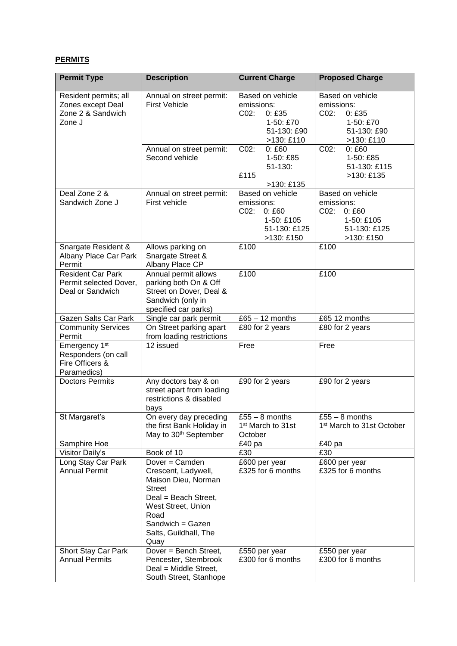## **PERMITS**

| <b>Permit Type</b>                                                                 | <b>Description</b>                                                                                                                        | <b>Current Charge</b>                                                                          | <b>Proposed Charge</b>                                                                      |
|------------------------------------------------------------------------------------|-------------------------------------------------------------------------------------------------------------------------------------------|------------------------------------------------------------------------------------------------|---------------------------------------------------------------------------------------------|
| Resident permits; all<br>Zones except Deal<br>Zone 2 & Sandwich<br>Zone J          | Annual on street permit:<br><b>First Vehicle</b>                                                                                          | Based on vehicle<br>emissions:<br>CO2:<br>0:£35<br>1-50: £70<br>51-130: £90<br>>130: £110      | Based on vehicle<br>emissions:<br>C02:<br>0:£35<br>1-50: £70<br>51-130: £90<br>>130: £110   |
|                                                                                    | Annual on street permit:<br>Second vehicle                                                                                                | C02:<br>0:£60<br>1-50: £85<br>$51 - 130$ :<br>£115<br>>130: £135                               | C02:<br>0:£60<br>1-50: £85<br>51-130: £115<br>>130: £135                                    |
| Deal Zone 2 &<br>Sandwich Zone J                                                   | Annual on street permit:<br>First vehicle                                                                                                 | Based on vehicle<br>emissions:<br>$CO2$ :<br>0:£60<br>1-50: £105<br>51-130: £125<br>>130: £150 | Based on vehicle<br>emissions:<br>CO2:<br>0:£60<br>1-50: £105<br>51-130: £125<br>>130: £150 |
| Snargate Resident &<br>Albany Place Car Park<br>Permit                             | Allows parking on<br>Snargate Street &<br>Albany Place CP                                                                                 | £100                                                                                           | £100                                                                                        |
| Resident Car Park<br>Permit selected Dover,<br>Deal or Sandwich                    | Annual permit allows<br>parking both On & Off<br>Street on Dover, Deal &<br>Sandwich (only in<br>specified car parks)                     | £100                                                                                           | £100                                                                                        |
| Gazen Salts Car Park                                                               | Single car park permit                                                                                                                    | $£65 - 12$ months                                                                              | £65 12 months                                                                               |
| <b>Community Services</b><br>Permit                                                | On Street parking apart<br>from loading restrictions                                                                                      | £80 for 2 years                                                                                | £80 for 2 years                                                                             |
| Emergency 1 <sup>st</sup><br>Responders (on call<br>Fire Officers &<br>Paramedics) | $\overline{12}$ issued                                                                                                                    | Free                                                                                           | Free                                                                                        |
| <b>Doctors Permits</b>                                                             | Any doctors bay & on<br>street apart from loading<br>restrictions & disabled<br>bays                                                      | £90 for 2 years                                                                                | £90 for 2 years                                                                             |
| St Margaret's                                                                      | On every day preceding<br>the first Bank Holiday in<br>May to 30 <sup>th</sup> September                                                  | $\overline{£55 - 8}$ months<br>1 <sup>st</sup> March to 31st<br>October                        | $\overline{£55} - 8$ months<br>1 <sup>st</sup> March to 31st October                        |
| Samphire Hoe                                                                       |                                                                                                                                           | £40 <sub>pa</sub>                                                                              | £40 pa                                                                                      |
| Visitor Daily's<br>Long Stay Car Park<br><b>Annual Permit</b>                      | Book of 10<br>Dover = Camden<br>Crescent, Ladywell,<br>Maison Dieu, Norman<br><b>Street</b><br>Deal = Beach Street,<br>West Street, Union | £30<br>£600 per year<br>£325 for 6 months                                                      | £30<br>£600 per year<br>£325 for 6 months                                                   |
|                                                                                    | Road<br>Sandwich = Gazen<br>Salts, Guildhall, The<br>Quay                                                                                 |                                                                                                |                                                                                             |
| Short Stay Car Park<br><b>Annual Permits</b>                                       | Dover = Bench Street,<br>Pencester, Stembrook<br>Deal = Middle Street,<br>South Street, Stanhope                                          | £550 per year<br>£300 for 6 months                                                             | £550 per year<br>£300 for 6 months                                                          |